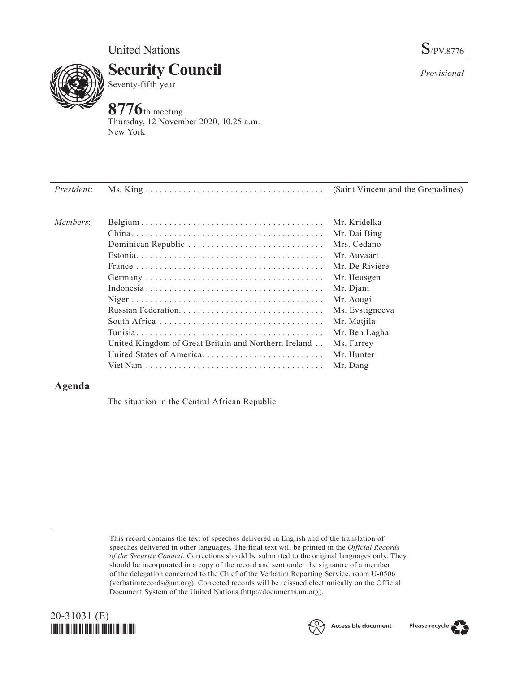

**Security Council** Seventy-fifth year

## **8776**th meeting

Thursday, 12 November 2020, 10.25 a.m. New York

| <i>President:</i> |                                                      |                 |
|-------------------|------------------------------------------------------|-----------------|
| Members:          |                                                      | Mr. Kridelka    |
|                   |                                                      | Mr. Dai Bing    |
|                   | Dominican Republic                                   | Mrs. Cedano     |
|                   |                                                      | Mr. Auväärt     |
|                   |                                                      | Mr. De Rivière  |
|                   |                                                      | Mr. Heusgen     |
|                   |                                                      | Mr. Djani       |
|                   |                                                      | Mr. Aougi       |
|                   |                                                      | Ms. Evstigneeva |
|                   |                                                      | Mr. Matjila     |
|                   |                                                      | Mr. Ben Lagha   |
|                   | United Kingdom of Great Britain and Northern Ireland | Ms. Farrey      |
|                   | United States of America                             | Mr. Hunter      |
|                   |                                                      | Mr. Dang        |

## **Agenda**

The situation in the Central African Republic

This record contains the text of speeches delivered in English and of the translation of speeches delivered in other languages. The final text will be printed in the *Official Records of the Security Council.* Corrections should be submitted to the original languages only. They should be incorporated in a copy of the record and sent under the signature of a member of the delegation concerned to the Chief of the Verbatim Reporting Service, room U-0506 (verbatimrecords@un.org). Corrected records will be reissued electronically on the Official Document System of the United Nations (http://documents.un.org).







*Provisional*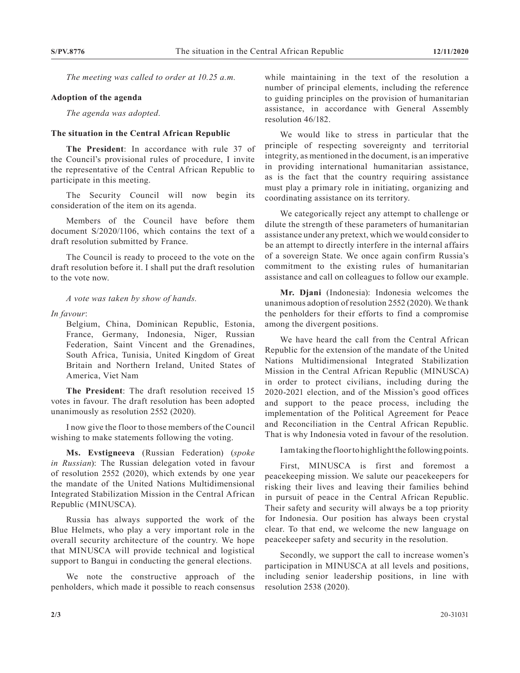*The meeting was called to order at 10.25 a.m.*

## **Adoption of the agenda**

*The agenda was adopted.*

## **The situation in the Central African Republic**

**The President**: In accordance with rule 37 of the Council's provisional rules of procedure, I invite the representative of the Central African Republic to participate in this meeting.

The Security Council will now begin its consideration of the item on its agenda.

Members of the Council have before them document S/2020/1106, which contains the text of a draft resolution submitted by France.

The Council is ready to proceed to the vote on the draft resolution before it. I shall put the draft resolution to the vote now.

*A vote was taken by show of hands.*

*In favour*:

Belgium, China, Dominican Republic, Estonia, France, Germany, Indonesia, Niger, Russian Federation, Saint Vincent and the Grenadines, South Africa, Tunisia, United Kingdom of Great Britain and Northern Ireland, United States of America, Viet Nam

**The President**: The draft resolution received 15 votes in favour. The draft resolution has been adopted unanimously as resolution 2552 (2020).

I now give the floor to those members of the Council wishing to make statements following the voting.

**Ms. Evstigneeva** (Russian Federation) (*spoke in Russian*): The Russian delegation voted in favour of resolution 2552 (2020), which extends by one year the mandate of the United Nations Multidimensional Integrated Stabilization Mission in the Central African Republic (MINUSCA).

Russia has always supported the work of the Blue Helmets, who play a very important role in the overall security architecture of the country. We hope that MINUSCA will provide technical and logistical support to Bangui in conducting the general elections.

We note the constructive approach of the penholders, which made it possible to reach consensus

while maintaining in the text of the resolution a number of principal elements, including the reference to guiding principles on the provision of humanitarian assistance, in accordance with General Assembly resolution 46/182.

We would like to stress in particular that the principle of respecting sovereignty and territorial integrity, as mentioned in the document, is an imperative in providing international humanitarian assistance, as is the fact that the country requiring assistance must play a primary role in initiating, organizing and coordinating assistance on its territory.

We categorically reject any attempt to challenge or dilute the strength of these parameters of humanitarian assistance under any pretext, which we would consider to be an attempt to directly interfere in the internal affairs of a sovereign State. We once again confirm Russia's commitment to the existing rules of humanitarian assistance and call on colleagues to follow our example.

**Mr. Djani** (Indonesia): Indonesia welcomes the unanimous adoption of resolution 2552 (2020). We thank the penholders for their efforts to find a compromise among the divergent positions.

We have heard the call from the Central African Republic for the extension of the mandate of the United Nations Multidimensional Integrated Stabilization Mission in the Central African Republic (MINUSCA) in order to protect civilians, including during the 2020-2021 election, and of the Mission's good offices and support to the peace process, including the implementation of the Political Agreement for Peace and Reconciliation in the Central African Republic. That is why Indonesia voted in favour of the resolution.

I am taking the floor to highlight the following points.

First, MINUSCA is first and foremost a peacekeeping mission. We salute our peacekeepers for risking their lives and leaving their families behind in pursuit of peace in the Central African Republic. Their safety and security will always be a top priority for Indonesia. Our position has always been crystal clear. To that end, we welcome the new language on peacekeeper safety and security in the resolution.

Secondly, we support the call to increase women's participation in MINUSCA at all levels and positions, including senior leadership positions, in line with resolution 2538 (2020).